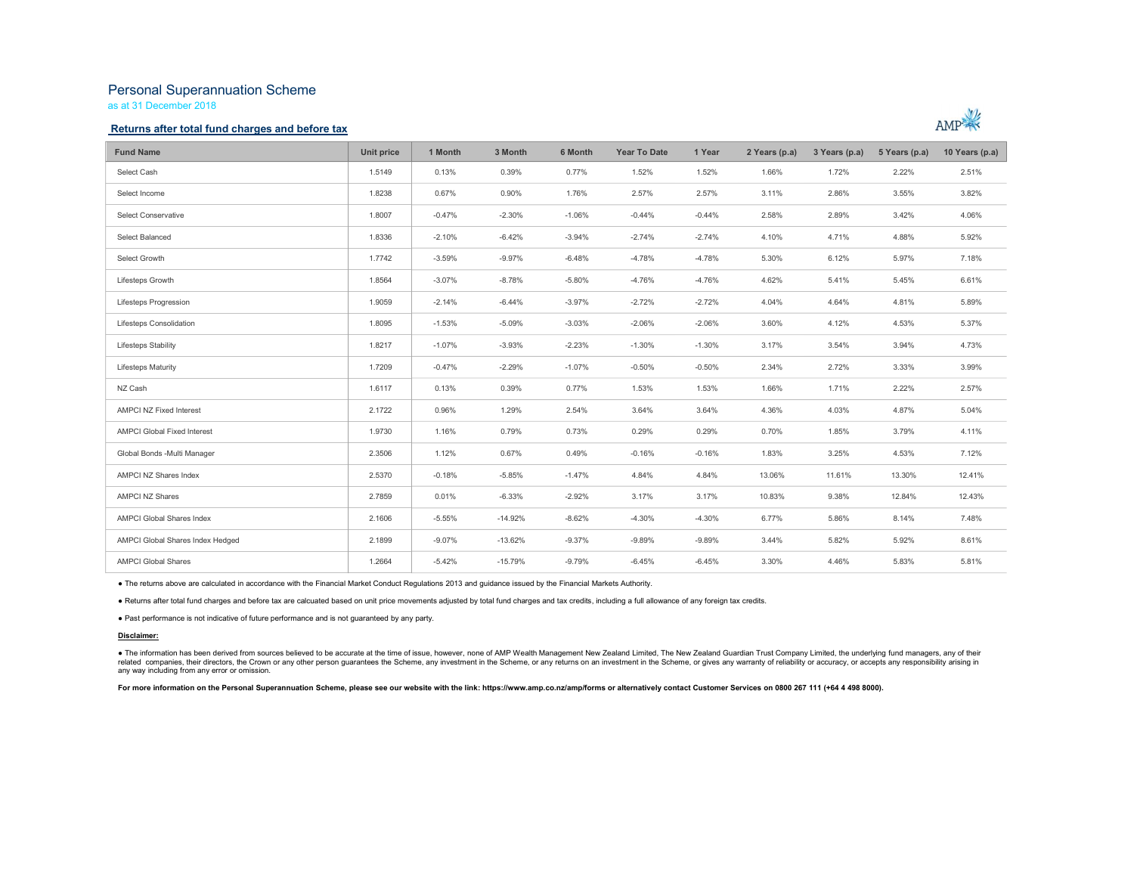# Personal Superannuation Scheme

as at 31 December 2018

### Returns after total fund charges and before tax



| <b>Fund Name</b>                   | Unit price | 1 Month  | 3 Month   | 6 Month  | <b>Year To Date</b> | 1 Year   | 2 Years (p.a) | 3 Years (p.a) | 5 Years (p.a) | 10 Years (p.a) |
|------------------------------------|------------|----------|-----------|----------|---------------------|----------|---------------|---------------|---------------|----------------|
| Select Cash                        | 1.5149     | 0.13%    | 0.39%     | 0.77%    | 1.52%               | 1.52%    | 1.66%         | 1.72%         | 2.22%         | 2.51%          |
| Select Income                      | 1.8238     | 0.67%    | 0.90%     | 1.76%    | 2.57%               | 2.57%    | 3.11%         | 2.86%         | 3.55%         | 3.82%          |
| Select Conservative                | 1.8007     | $-0.47%$ | $-2.30%$  | $-1.06%$ | $-0.44%$            | $-0.44%$ | 2.58%         | 2.89%         | 3.42%         | 4.06%          |
| Select Balanced                    | 1.8336     | $-2.10%$ | $-6.42%$  | $-3.94%$ | $-2.74%$            | $-2.74%$ | 4.10%         | 4.71%         | 4.88%         | 5.92%          |
| Select Growth                      | 1,7742     | $-3.59%$ | $-9.97%$  | $-6.48%$ | $-4.78%$            | $-4.78%$ | 5.30%         | 6.12%         | 5.97%         | 7.18%          |
| Lifesteps Growth                   | 1.8564     | $-3.07%$ | $-8.78%$  | $-5.80%$ | $-4.76%$            | $-4.76%$ | 4.62%         | 5.41%         | 5.45%         | 6.61%          |
| Lifesteps Progression              | 1.9059     | $-2.14%$ | $-6.44%$  | $-3.97%$ | $-2.72%$            | $-2.72%$ | 4.04%         | 4.64%         | 4.81%         | 5.89%          |
| Lifesteps Consolidation            | 1.8095     | $-1.53%$ | $-5.09%$  | $-3.03%$ | $-2.06%$            | $-2.06%$ | 3.60%         | 4.12%         | 4.53%         | 5.37%          |
| Lifesteps Stability                | 1.8217     | $-1.07%$ | $-3.93%$  | $-2.23%$ | $-1.30%$            | $-1.30%$ | 3.17%         | 3.54%         | 3.94%         | 4.73%          |
| <b>Lifesteps Maturity</b>          | 1.7209     | $-0.47%$ | $-2.29%$  | $-1.07%$ | $-0.50%$            | $-0.50%$ | 2.34%         | 2.72%         | 3.33%         | 3.99%          |
| NZ Cash                            | 1.6117     | 0.13%    | 0.39%     | 0.77%    | 1.53%               | 1.53%    | 1.66%         | 1.71%         | 2.22%         | 2.57%          |
| AMPCI NZ Fixed Interest            | 2.1722     | 0.96%    | 1.29%     | 2.54%    | 3.64%               | 3.64%    | 4.36%         | 4.03%         | 4.87%         | 5.04%          |
| <b>AMPCI Global Fixed Interest</b> | 1.9730     | 1.16%    | 0.79%     | 0.73%    | 0.29%               | 0.29%    | 0.70%         | 1.85%         | 3.79%         | 4.11%          |
| Global Bonds -Multi Manager        | 2.3506     | 1.12%    | 0.67%     | 0.49%    | $-0.16%$            | $-0.16%$ | 1.83%         | 3.25%         | 4.53%         | 7.12%          |
| AMPCI NZ Shares Index              | 2.5370     | $-0.18%$ | $-5.85%$  | $-1.47%$ | 4.84%               | 4.84%    | 13.06%        | 11.61%        | 13.30%        | 12.41%         |
| <b>AMPCI NZ Shares</b>             | 2.7859     | 0.01%    | $-6.33%$  | $-2.92%$ | 3.17%               | 3.17%    | 10.83%        | 9.38%         | 12.84%        | 12.43%         |
| <b>AMPCI Global Shares Index</b>   | 2.1606     | $-5.55%$ | $-14.92%$ | $-8.62%$ | $-4.30%$            | $-4.30%$ | 6.77%         | 5.86%         | 8.14%         | 7.48%          |
| AMPCI Global Shares Index Hedged   | 2.1899     | $-9.07%$ | $-13.62%$ | $-9.37%$ | $-9.89%$            | $-9.89%$ | 3.44%         | 5.82%         | 5.92%         | 8.61%          |
| <b>AMPCI Global Shares</b>         | 1.2664     | $-5.42%$ | $-15.79%$ | $-9.79%$ | $-6.45%$            | $-6.45%$ | 3.30%         | 4.46%         | 5.83%         | 5.81%          |

● The returns above are calculated in accordance with the Financial Market Conduct Regulations 2013 and guidance issued by the Financial Markets Authority.<br>● Returns after total fund charges and before tax are calcuated b

#### Disclaimer:

● The information has been derived from sources believed to be accurate at the time of issue, however, none of AMP Wealth Management New Zealand Limited, The New Zealand Guardian Trust Company Limited, the underlying fund any way including from any error or omission.

For more information on the Personal Superannuation Scheme, please see our website with the link: https://www.amp.co.nz/amp/forms or alternatively contact Customer Services on 0800 267 111 (+64 4 498 8000).